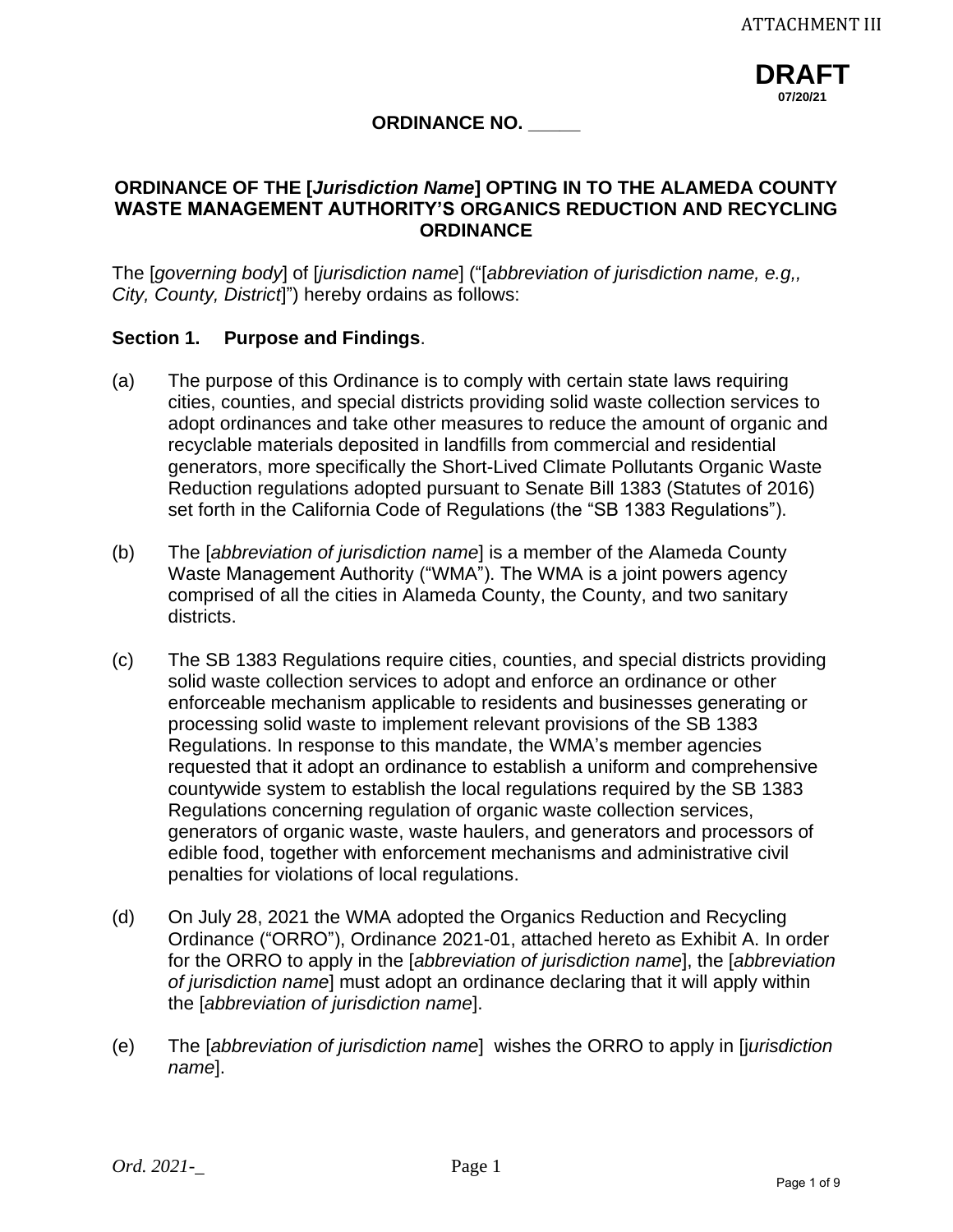**DRAFT 07/20/21**

# **ORDINANCE NO. \_\_\_\_\_**

## **ORDINANCE OF THE [***Jurisdiction Name***] OPTING IN TO THE ALAMEDA COUNTY WASTE MANAGEMENT AUTHORITY'S ORGANICS REDUCTION AND RECYCLING ORDINANCE**

The [*governing body*] of [*jurisdiction name*] ("[*abbreviation of jurisdiction name, e.g,, City, County, District*]") hereby ordains as follows:

## **Section 1. Purpose and Findings**.

- (a) The purpose of this Ordinance is to comply with certain state laws requiring cities, counties, and special districts providing solid waste collection services to adopt ordinances and take other measures to reduce the amount of organic and recyclable materials deposited in landfills from commercial and residential generators, more specifically the Short-Lived Climate Pollutants Organic Waste Reduction regulations adopted pursuant to Senate Bill 1383 (Statutes of 2016) set forth in the California Code of Regulations (the "SB 1383 Regulations").
- (b) The [*abbreviation of jurisdiction name*] is a member of the Alameda County Waste Management Authority ("WMA"). The WMA is a joint powers agency comprised of all the cities in Alameda County, the County, and two sanitary districts.
- (c) The SB 1383 Regulations require cities, counties, and special districts providing solid waste collection services to adopt and enforce an ordinance or other enforceable mechanism applicable to residents and businesses generating or processing solid waste to implement relevant provisions of the SB 1383 Regulations. In response to this mandate, the WMA's member agencies requested that it adopt an ordinance to establish a uniform and comprehensive countywide system to establish the local regulations required by the SB 1383 Regulations concerning regulation of organic waste collection services, generators of organic waste, waste haulers, and generators and processors of edible food, together with enforcement mechanisms and administrative civil penalties for violations of local regulations.
- (d) On July 28, 2021 the WMA adopted the Organics Reduction and Recycling Ordinance ("ORRO"), Ordinance 2021-01, attached hereto as Exhibit A. In order for the ORRO to apply in the [*abbreviation of jurisdiction name*], the [*abbreviation of jurisdiction name*] must adopt an ordinance declaring that it will apply within the [*abbreviation of jurisdiction name*].
- (e) The [*abbreviation of jurisdiction name*] wishes the ORRO to apply in [j*urisdiction name*].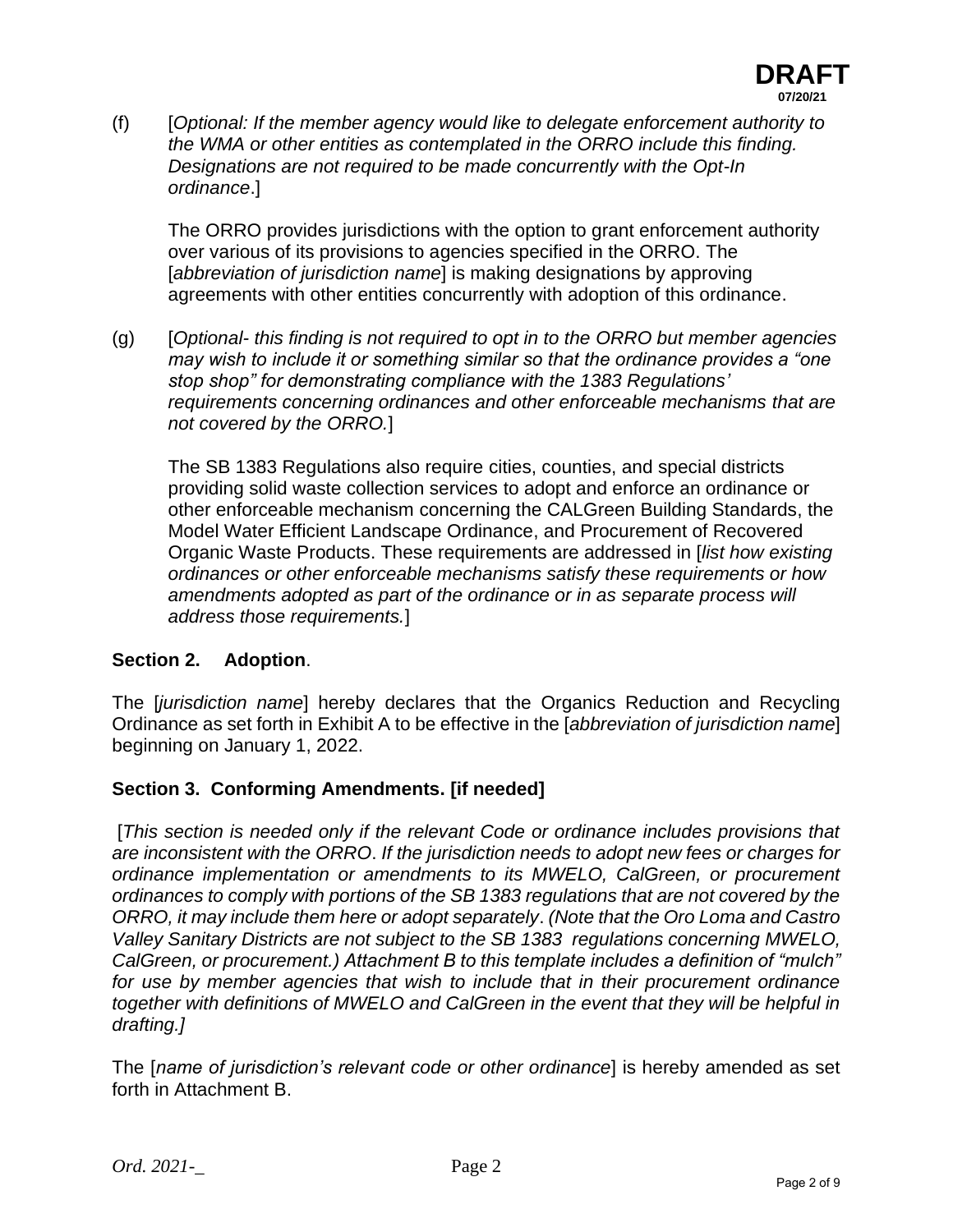

(f) [*Optional: If the member agency would like to delegate enforcement authority to the WMA or other entities as contemplated in the ORRO include this finding. Designations are not required to be made concurrently with the Opt-In ordinance*.]

The ORRO provides jurisdictions with the option to grant enforcement authority over various of its provisions to agencies specified in the ORRO. The [*abbreviation of jurisdiction name*] is making designations by approving agreements with other entities concurrently with adoption of this ordinance.

(g) [*Optional- this finding is not required to opt in to the ORRO but member agencies may wish to include it or something similar so that the ordinance provides a "one stop shop" for demonstrating compliance with the 1383 Regulations' requirements concerning ordinances and other enforceable mechanisms that are not covered by the ORRO.*]

The SB 1383 Regulations also require cities, counties, and special districts providing solid waste collection services to adopt and enforce an ordinance or other enforceable mechanism concerning the CALGreen Building Standards, the Model Water Efficient Landscape Ordinance, and Procurement of Recovered Organic Waste Products. These requirements are addressed in [*list how existing ordinances or other enforceable mechanisms satisfy these requirements or how amendments adopted as part of the ordinance or in as separate process will address those requirements.*]

## **Section 2. Adoption**.

The [*jurisdiction name*] hereby declares that the Organics Reduction and Recycling Ordinance as set forth in Exhibit A to be effective in the [*abbreviation of jurisdiction name*] beginning on January 1, 2022.

## **Section 3. Conforming Amendments. [if needed]**

[*This section is needed only if the relevant Code or ordinance includes provisions that are inconsistent with the ORRO*. *If the jurisdiction needs to adopt new fees or charges for ordinance implementation or amendments to its MWELO, CalGreen, or procurement ordinances to comply with portions of the SB 1383 regulations that are not covered by the ORRO, it may include them here or adopt separately*. *(Note that the Oro Loma and Castro Valley Sanitary Districts are not subject to the SB 1383 regulations concerning MWELO, CalGreen, or procurement.) Attachment B to this template includes a definition of "mulch" for use by member agencies that wish to include that in their procurement ordinance together with definitions of MWELO and CalGreen in the event that they will be helpful in drafting.]*

The [*name of jurisdiction's relevant code or other ordinance*] is hereby amended as set forth in Attachment B.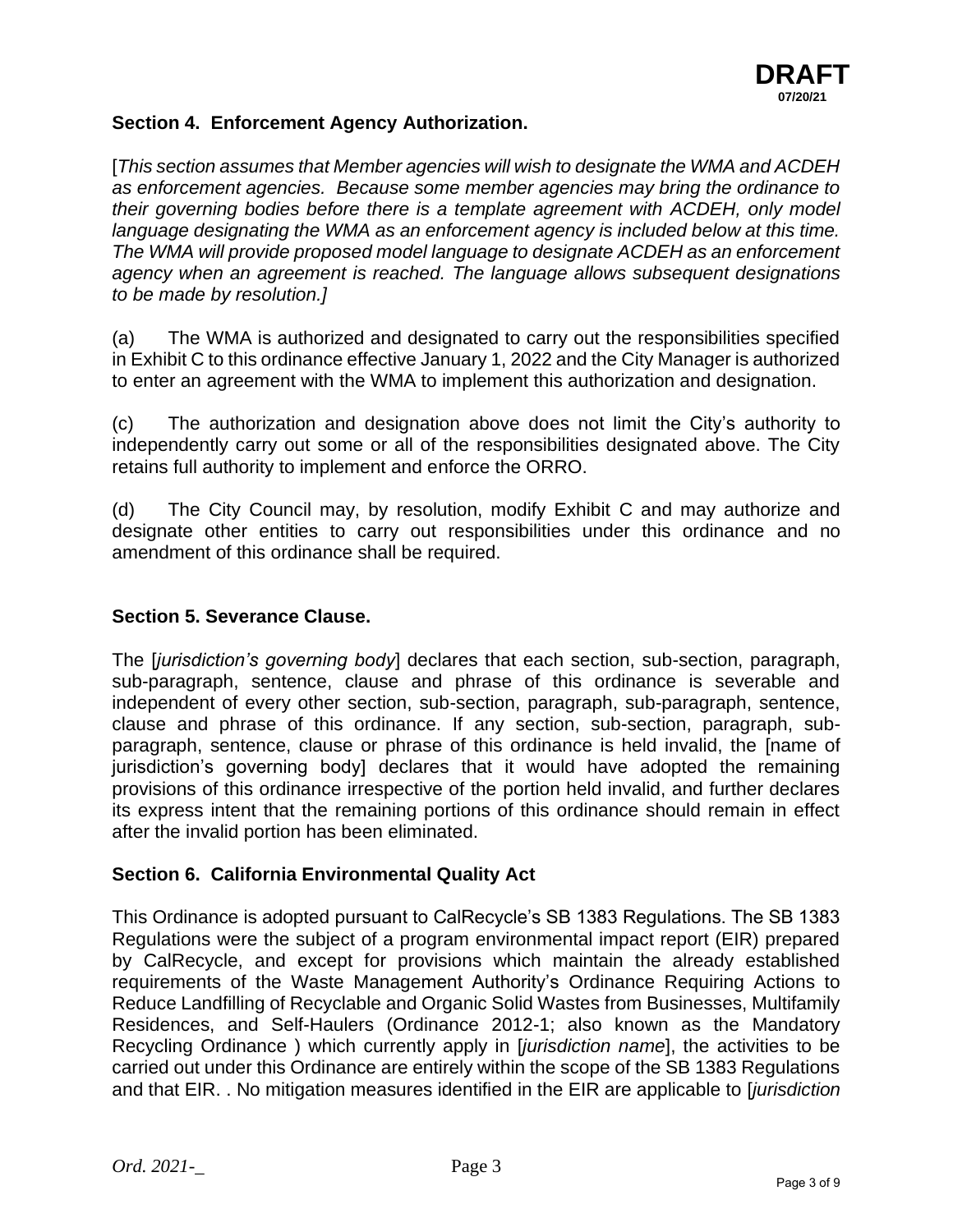

#### **Section 4. Enforcement Agency Authorization.**

[*This section assumes that Member agencies will wish to designate the WMA and ACDEH as enforcement agencies. Because some member agencies may bring the ordinance to their governing bodies before there is a template agreement with ACDEH, only model language designating the WMA as an enforcement agency is included below at this time. The WMA will provide proposed model language to designate ACDEH as an enforcement agency when an agreement is reached. The language allows subsequent designations to be made by resolution.]*

(a) The WMA is authorized and designated to carry out the responsibilities specified in Exhibit C to this ordinance effective January 1, 2022 and the City Manager is authorized to enter an agreement with the WMA to implement this authorization and designation.

(c) The authorization and designation above does not limit the City's authority to independently carry out some or all of the responsibilities designated above. The City retains full authority to implement and enforce the ORRO.

(d) The City Council may, by resolution, modify Exhibit C and may authorize and designate other entities to carry out responsibilities under this ordinance and no amendment of this ordinance shall be required.

#### **Section 5. Severance Clause.**

The [*jurisdiction's governing body*] declares that each section, sub-section, paragraph, sub-paragraph, sentence, clause and phrase of this ordinance is severable and independent of every other section, sub-section, paragraph, sub-paragraph, sentence, clause and phrase of this ordinance. If any section, sub-section, paragraph, subparagraph, sentence, clause or phrase of this ordinance is held invalid, the [name of jurisdiction's governing body] declares that it would have adopted the remaining provisions of this ordinance irrespective of the portion held invalid, and further declares its express intent that the remaining portions of this ordinance should remain in effect after the invalid portion has been eliminated.

#### **Section 6. California Environmental Quality Act**

This Ordinance is adopted pursuant to CalRecycle's SB 1383 Regulations. The SB 1383 Regulations were the subject of a program environmental impact report (EIR) prepared by CalRecycle, and except for provisions which maintain the already established requirements of the Waste Management Authority's Ordinance Requiring Actions to Reduce Landfilling of Recyclable and Organic Solid Wastes from Businesses, Multifamily Residences, and Self-Haulers (Ordinance 2012-1; also known as the Mandatory Recycling Ordinance ) which currently apply in [*jurisdiction name*], the activities to be carried out under this Ordinance are entirely within the scope of the SB 1383 Regulations and that EIR. . No mitigation measures identified in the EIR are applicable to [*jurisdiction*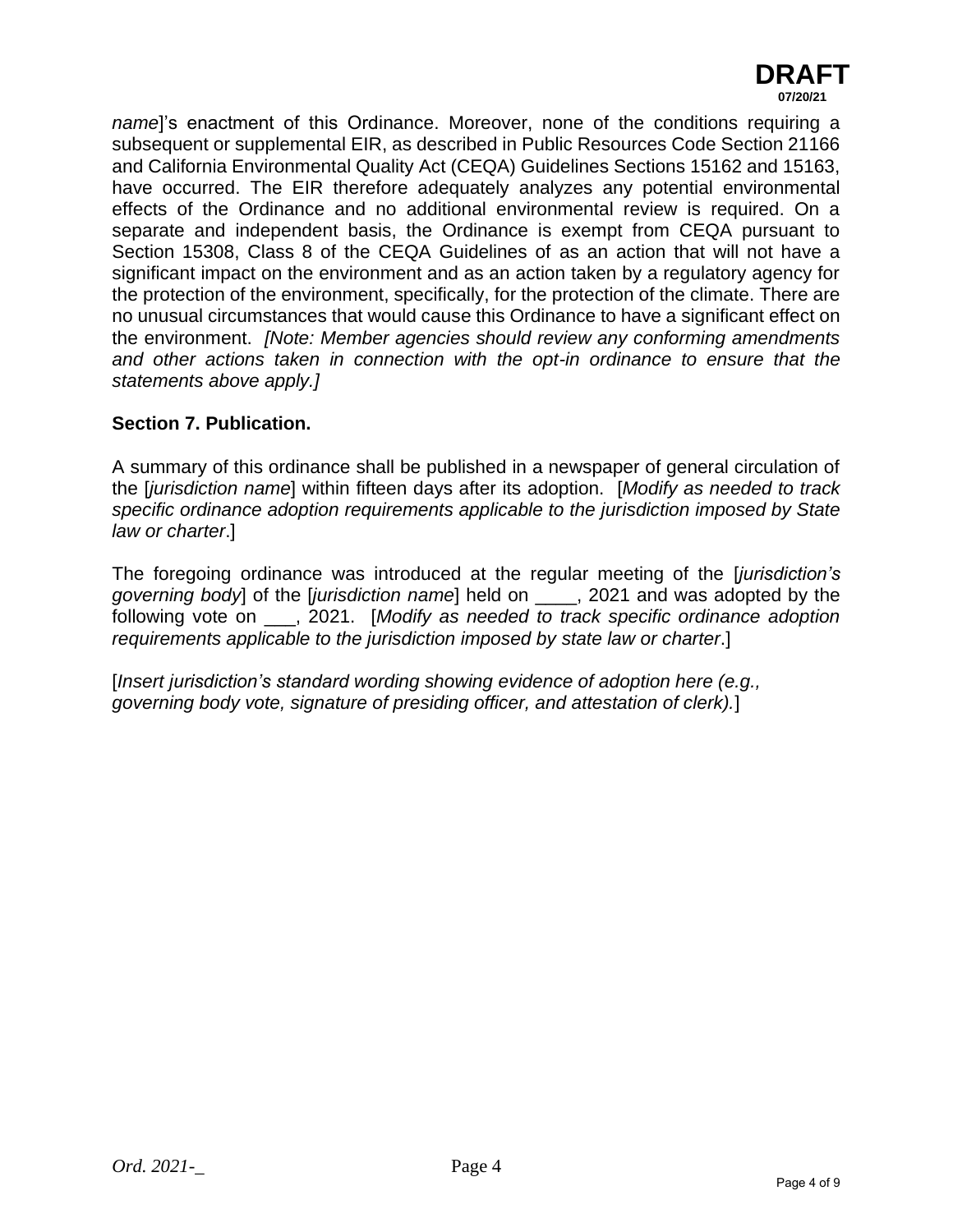

*name*]'s enactment of this Ordinance. Moreover, none of the conditions requiring a subsequent or supplemental EIR, as described in Public Resources Code Section 21166 and California Environmental Quality Act (CEQA) Guidelines Sections 15162 and 15163, have occurred. The EIR therefore adequately analyzes any potential environmental effects of the Ordinance and no additional environmental review is required. On a separate and independent basis, the Ordinance is exempt from CEQA pursuant to Section 15308, Class 8 of the CEQA Guidelines of as an action that will not have a significant impact on the environment and as an action taken by a regulatory agency for the protection of the environment, specifically, for the protection of the climate. There are no unusual circumstances that would cause this Ordinance to have a significant effect on the environment. *[Note: Member agencies should review any conforming amendments and other actions taken in connection with the opt-in ordinance to ensure that the statements above apply.]*

## **Section 7. Publication.**

A summary of this ordinance shall be published in a newspaper of general circulation of the [*jurisdiction name*] within fifteen days after its adoption. [*Modify as needed to track specific ordinance adoption requirements applicable to the jurisdiction imposed by State law or charter*.]

The foregoing ordinance was introduced at the regular meeting of the [*jurisdiction's governing body*] of the [*jurisdiction name*] held on \_\_\_\_, 2021 and was adopted by the following vote on \_\_\_, 2021. [*Modify as needed to track specific ordinance adoption requirements applicable to the jurisdiction imposed by state law or charter*.]

[*Insert jurisdiction's standard wording showing evidence of adoption here (e.g., governing body vote, signature of presiding officer, and attestation of clerk).*]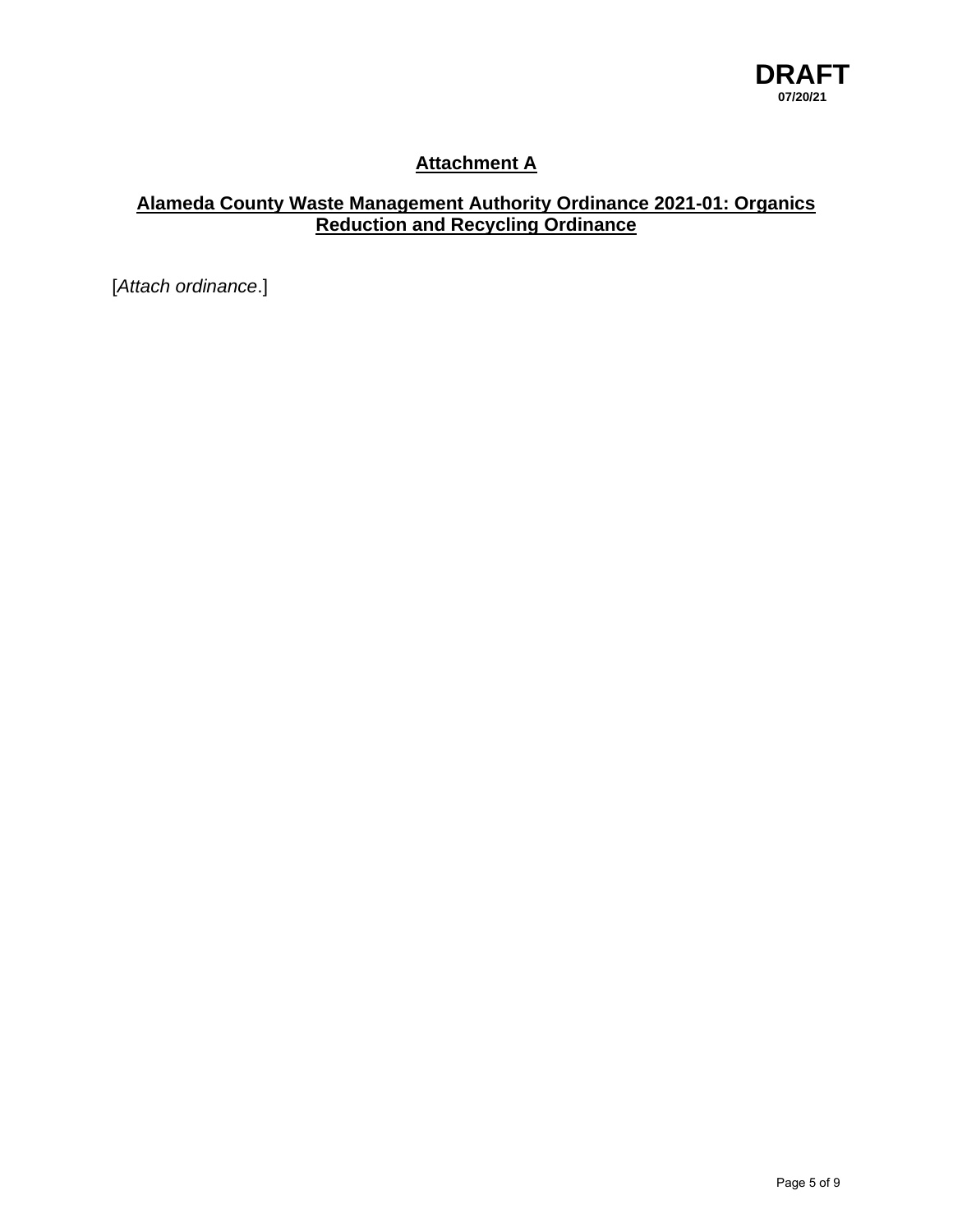

# **Attachment A**

# **Alameda County Waste Management Authority Ordinance 2021-01: Organics Reduction and Recycling Ordinance**

[*Attach ordinance*.]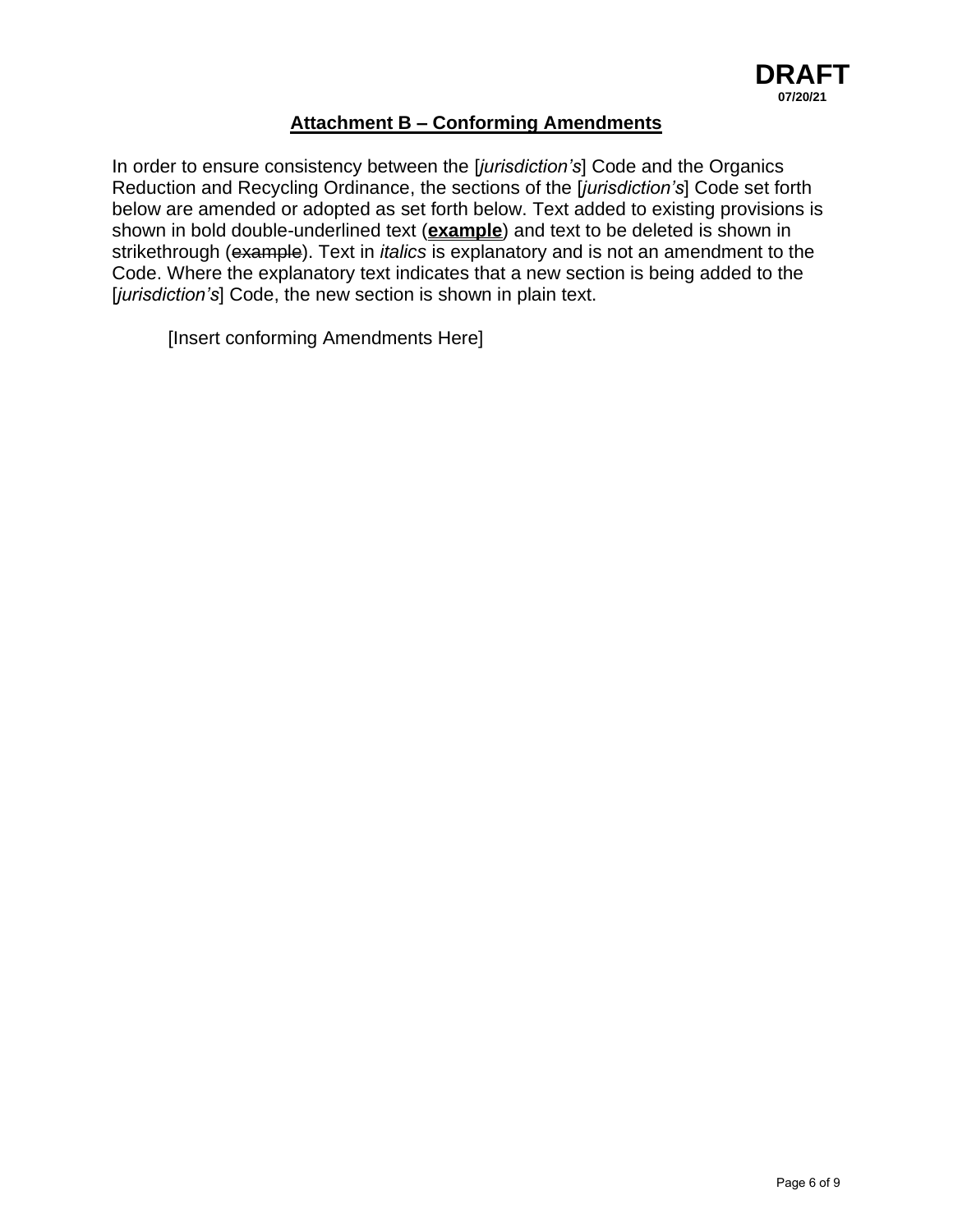# **Attachment B – Conforming Amendments**

In order to ensure consistency between the [*jurisdiction's*] Code and the Organics Reduction and Recycling Ordinance, the sections of the [*jurisdiction's*] Code set forth below are amended or adopted as set forth below. Text added to existing provisions is shown in bold double-underlined text (**example**) and text to be deleted is shown in strikethrough (example). Text in *italics* is explanatory and is not an amendment to the Code. Where the explanatory text indicates that a new section is being added to the [*jurisdiction's*] Code, the new section is shown in plain text.

[Insert conforming Amendments Here]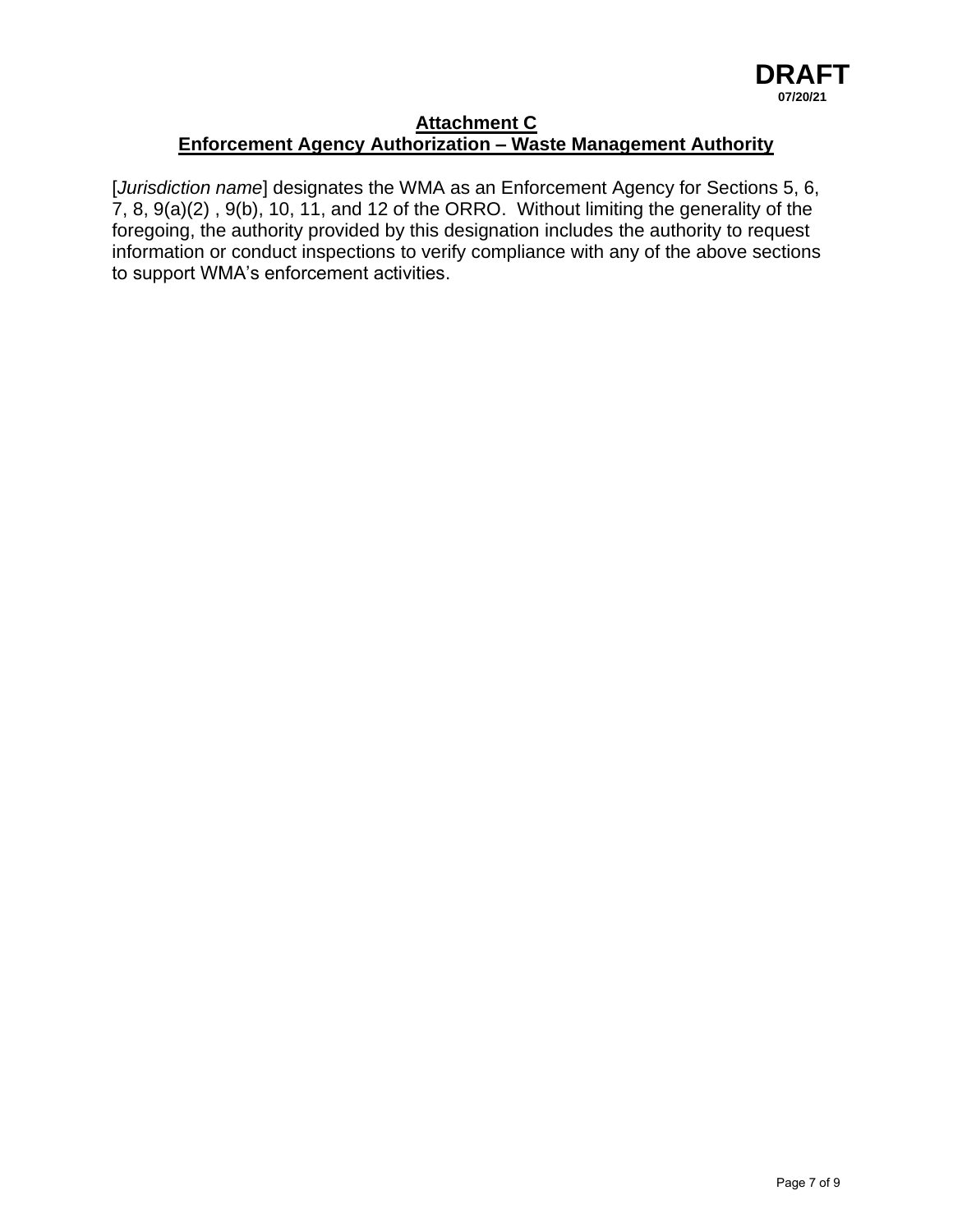#### **Attachment C Enforcement Agency Authorization – Waste Management Authority**

[*Jurisdiction name*] designates the WMA as an Enforcement Agency for Sections 5, 6, 7, 8, 9(a)(2) , 9(b), 10, 11, and 12 of the ORRO. Without limiting the generality of the foregoing, the authority provided by this designation includes the authority to request information or conduct inspections to verify compliance with any of the above sections to support WMA's enforcement activities.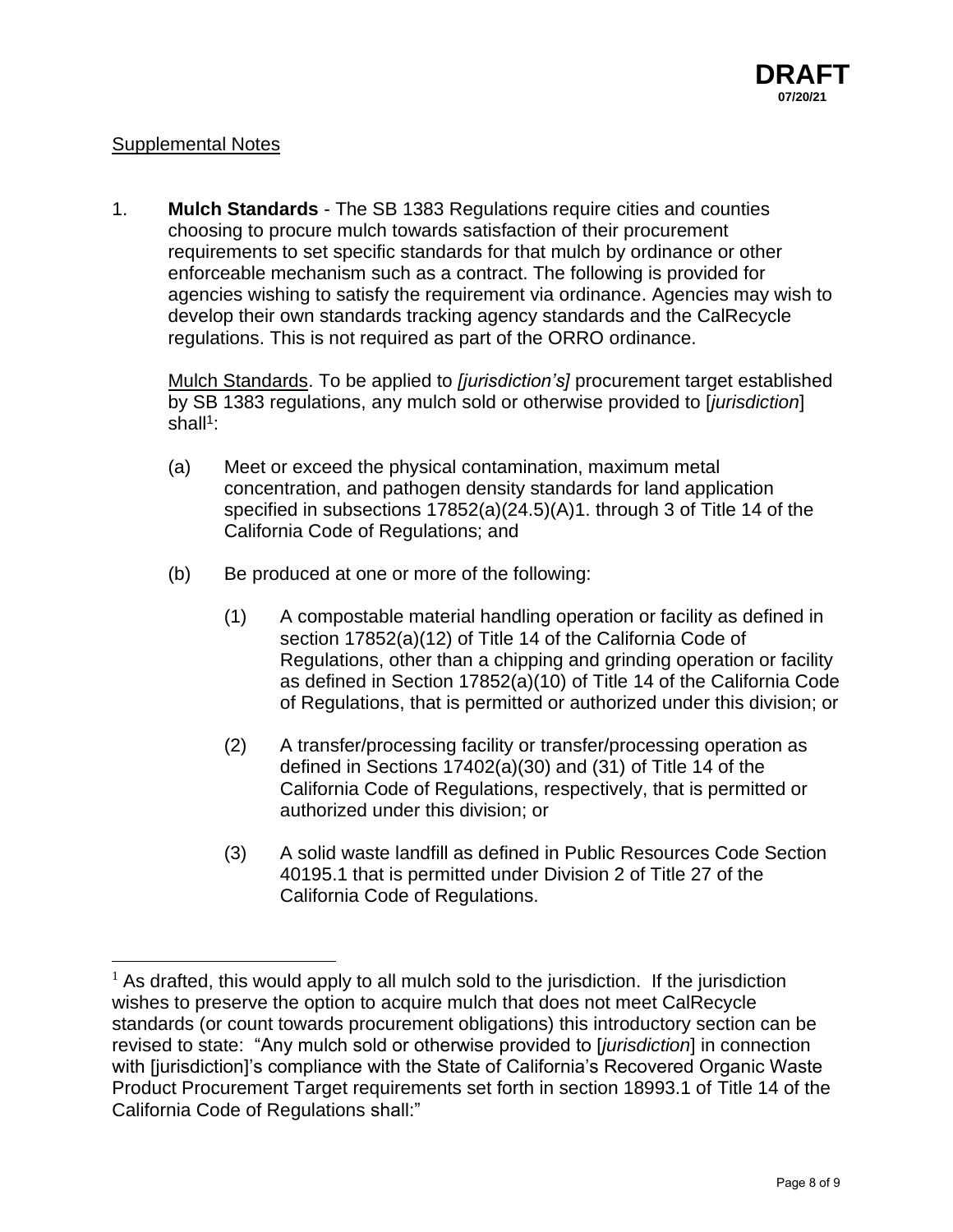# Supplemental Notes

1. **Mulch Standards** - The SB 1383 Regulations require cities and counties choosing to procure mulch towards satisfaction of their procurement requirements to set specific standards for that mulch by ordinance or other enforceable mechanism such as a contract. The following is provided for agencies wishing to satisfy the requirement via ordinance. Agencies may wish to develop their own standards tracking agency standards and the CalRecycle regulations. This is not required as part of the ORRO ordinance.

Mulch Standards. To be applied to *[jurisdiction's]* procurement target established by SB 1383 regulations, any mulch sold or otherwise provided to [*jurisdiction*] shall<sup>1</sup>:

- (a) Meet or exceed the physical contamination, maximum metal concentration, and pathogen density standards for land application specified in subsections 17852(a)(24.5)(A)1. through 3 of Title 14 of the California Code of Regulations; and
- (b) Be produced at one or more of the following:
	- (1) A compostable material handling operation or facility as defined in section 17852(a)(12) of Title 14 of the California Code of Regulations, other than a chipping and grinding operation or facility as defined in Section 17852(a)(10) of Title 14 of the California Code of Regulations, that is permitted or authorized under this division; or
	- (2) A transfer/processing facility or transfer/processing operation as defined in Sections 17402(a)(30) and (31) of Title 14 of the California Code of Regulations, respectively, that is permitted or authorized under this division; or
	- (3) A solid waste landfill as defined in Public Resources Code Section 40195.1 that is permitted under Division 2 of Title 27 of the California Code of Regulations.

 $1$  As drafted, this would apply to all mulch sold to the jurisdiction. If the jurisdiction wishes to preserve the option to acquire mulch that does not meet CalRecycle standards (or count towards procurement obligations) this introductory section can be revised to state: "Any mulch sold or otherwise provided to [*jurisdiction*] in connection with [jurisdiction]'s compliance with the State of California's Recovered Organic Waste Product Procurement Target requirements set forth in section 18993.1 of Title 14 of the California Code of Regulations shall:"